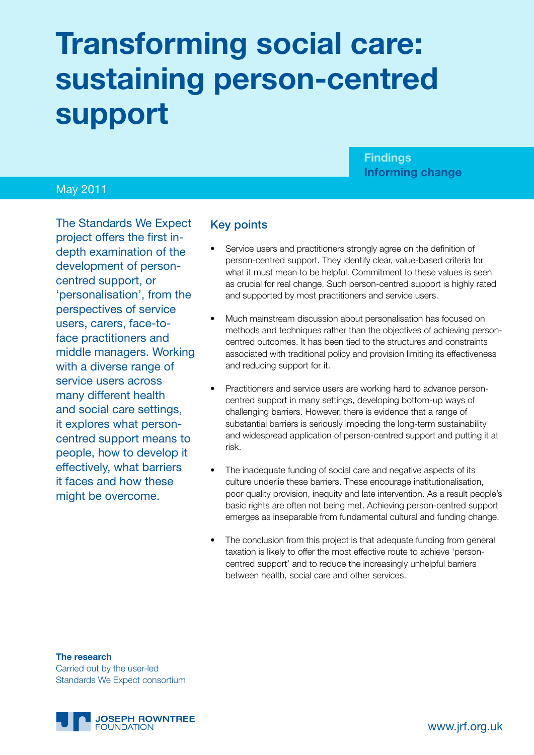# **Transforming social care: sustaining person-centred support**

**Findings Informing change**

### May 2011

The Standards We Expect project offers the first indepth examination of the development of personcentred support, or 'personalisation', from the perspectives of service users, carers, face-toface practitioners and middle managers. Working with a diverse range of service users across many different health and social care settings, it explores what personcentred support means to people, how to develop it effectively, what barriers it faces and how these might be overcome.

## Key points

- Service users and practitioners strongly agree on the definition of person-centred support. They identify clear, value-based criteria for what it must mean to be helpful. Commitment to these values is seen as crucial for real change. Such person-centred support is highly rated and supported by most practitioners and service users.
- Much mainstream discussion about personalisation has focused on methods and techniques rather than the objectives of achieving personcentred outcomes. It has been tied to the structures and constraints associated with traditional policy and provision limiting its effectiveness and reducing support for it.
- Practitioners and service users are working hard to advance personcentred support in many settings, developing bottom-up ways of challenging barriers. However, there is evidence that a range of substantial barriers is seriously impeding the long-term sustainability and widespread application of person-centred support and putting it at risk.
- The inadequate funding of social care and negative aspects of its culture underlie these barriers. These encourage institutionalisation, poor quality provision, inequity and late intervention. As a result people's basic rights are often not being met. Achieving person-centred support emerges as inseparable from fundamental cultural and funding change.
- The conclusion from this project is that adequate funding from general taxation is likely to offer the most effective route to achieve 'personcentred support' and to reduce the increasingly unhelpful barriers between health, social care and other services.

**The research** Carried out by the user-led Standards We Expect consortium

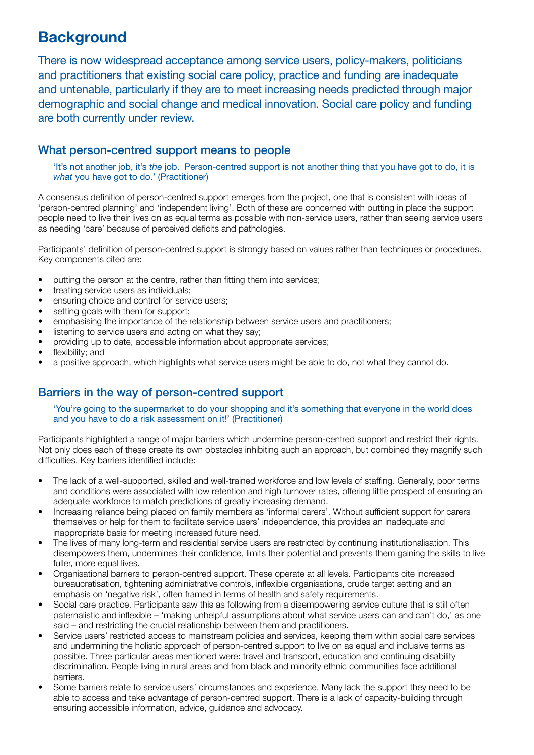## **Background**

There is now widespread acceptance among service users, policy-makers, politicians and practitioners that existing social care policy, practice and funding are inadequate and untenable, particularly if they are to meet increasing needs predicted through major demographic and social change and medical innovation. Social care policy and funding are both currently under review.

## What person-centred support means to people

'It's not another job, it's *the* job. Person-centred support is not another thing that you have got to do, it is *what* you have got to do.' (Practitioner)

A consensus definition of person-centred support emerges from the project, one that is consistent with ideas of 'person-centred planning' and 'independent living'. Both of these are concerned with putting in place the support people need to live their lives on as equal terms as possible with non-service users, rather than seeing service users as needing 'care' because of perceived deficits and pathologies.

Participants' definition of person-centred support is strongly based on values rather than techniques or procedures. Key components cited are:

- putting the person at the centre, rather than fitting them into services:
- treating service users as individuals;
- ensuring choice and control for service users;
- setting goals with them for support:
- emphasising the importance of the relationship between service users and practitioners;
- listening to service users and acting on what they say;
- providing up to date, accessible information about appropriate services:
- flexibility; and
- a positive approach, which highlights what service users might be able to do, not what they cannot do.

## Barriers in the way of person-centred support

#### 'You're going to the supermarket to do your shopping and it's something that everyone in the world does and you have to do a risk assessment on it!' (Practitioner)

Participants highlighted a range of major barriers which undermine person-centred support and restrict their rights. Not only does each of these create its own obstacles inhibiting such an approach, but combined they magnify such difficulties. Key barriers identified include:

- The lack of a well-supported, skilled and well-trained workforce and low levels of staffing. Generally, poor terms and conditions were associated with low retention and high turnover rates, offering little prospect of ensuring an adequate workforce to match predictions of greatly increasing demand.
- Increasing reliance being placed on family members as 'informal carers'. Without sufficient support for carers themselves or help for them to facilitate service users' independence, this provides an inadequate and inappropriate basis for meeting increased future need.
- The lives of many long-term and residential service users are restricted by continuing institutionalisation. This disempowers them, undermines their confidence, limits their potential and prevents them gaining the skills to live fuller, more equal lives.
- Organisational barriers to person-centred support. These operate at all levels. Participants cite increased bureaucratisation, tightening administrative controls, inflexible organisations, crude target setting and an emphasis on 'negative risk', often framed in terms of health and safety requirements.
- Social care practice. Participants saw this as following from a disempowering service culture that is still often paternalistic and inflexible – 'making unhelpful assumptions about what service users can and can't do,' as one said – and restricting the crucial relationship between them and practitioners.
- Service users' restricted access to mainstream policies and services, keeping them within social care services and undermining the holistic approach of person-centred support to live on as equal and inclusive terms as possible. Three particular areas mentioned were: travel and transport, education and continuing disability discrimination. People living in rural areas and from black and minority ethnic communities face additional barriers.
- Some barriers relate to service users' circumstances and experience. Many lack the support they need to be able to access and take advantage of person-centred support. There is a lack of capacity-building through ensuring accessible information, advice, guidance and advocacy.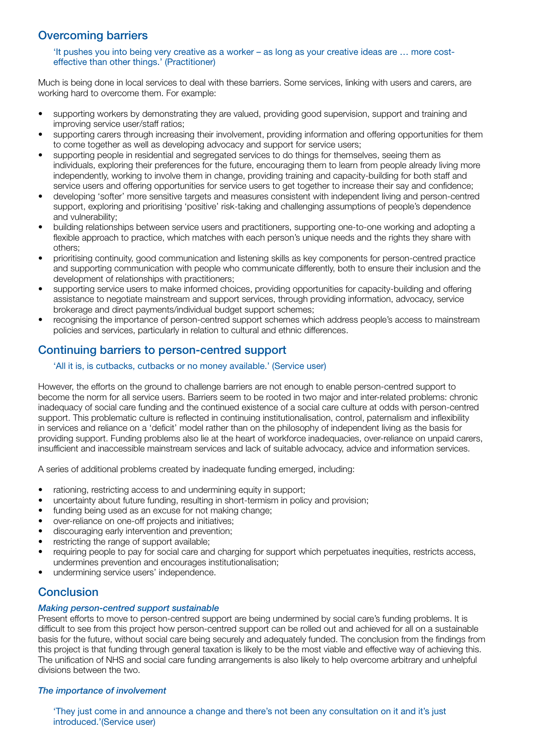## Overcoming barriers

#### 'It pushes you into being very creative as a worker – as long as your creative ideas are … more costeffective than other things.' (Practitioner)

Much is being done in local services to deal with these barriers. Some services, linking with users and carers, are working hard to overcome them. For example:

- supporting workers by demonstrating they are valued, providing good supervision, support and training and improving service user/staff ratios;
- supporting carers through increasing their involvement, providing information and offering opportunities for them to come together as well as developing advocacy and support for service users;
- • supporting people in residential and segregated services to do things for themselves, seeing them as individuals, exploring their preferences for the future, encouraging them to learn from people already living more independently, working to involve them in change, providing training and capacity-building for both staff and service users and offering opportunities for service users to get together to increase their say and confidence;
- developing 'softer' more sensitive targets and measures consistent with independent living and person-centred support, exploring and prioritising 'positive' risk-taking and challenging assumptions of people's dependence and vulnerability;
- • building relationships between service users and practitioners, supporting one-to-one working and adopting a flexible approach to practice, which matches with each person's unique needs and the rights they share with others;
- • prioritising continuity, good communication and listening skills as key components for person-centred practice and supporting communication with people who communicate differently, both to ensure their inclusion and the development of relationships with practitioners;
- supporting service users to make informed choices, providing opportunities for capacity-building and offering assistance to negotiate mainstream and support services, through providing information, advocacy, service brokerage and direct payments/individual budget support schemes;
- recognising the importance of person-centred support schemes which address people's access to mainstream policies and services, particularly in relation to cultural and ethnic differences.

## Continuing barriers to person-centred support

#### 'All it is, is cutbacks, cutbacks or no money available.' (Service user)

However, the efforts on the ground to challenge barriers are not enough to enable person-centred support to become the norm for all service users. Barriers seem to be rooted in two major and inter-related problems: chronic inadequacy of social care funding and the continued existence of a social care culture at odds with person-centred support. This problematic culture is reflected in continuing institutionalisation, control, paternalism and inflexibility in services and reliance on a 'deficit' model rather than on the philosophy of independent living as the basis for providing support. Funding problems also lie at the heart of workforce inadequacies, over-reliance on unpaid carers, insufficient and inaccessible mainstream services and lack of suitable advocacy, advice and information services.

A series of additional problems created by inadequate funding emerged, including:

- rationing, restricting access to and undermining equity in support;
- uncertainty about future funding, resulting in short-termism in policy and provision;
- funding being used as an excuse for not making change;
- over-reliance on one-off projects and initiatives;
- discouraging early intervention and prevention;
- restricting the range of support available;
- requiring people to pay for social care and charging for support which perpetuates inequities, restricts access, undermines prevention and encourages institutionalisation;
- undermining service users' independence.

## **Conclusion**

#### *Making person-centred support sustainable*

Present efforts to move to person-centred support are being undermined by social care's funding problems. It is difficult to see from this project how person-centred support can be rolled out and achieved for all on a sustainable basis for the future, without social care being securely and adequately funded. The conclusion from the findings from this project is that funding through general taxation is likely to be the most viable and effective way of achieving this. The unification of NHS and social care funding arrangements is also likely to help overcome arbitrary and unhelpful divisions between the two.

#### *The importance of involvement*

'They just come in and announce a change and there's not been any consultation on it and it's just introduced.'(Service user)